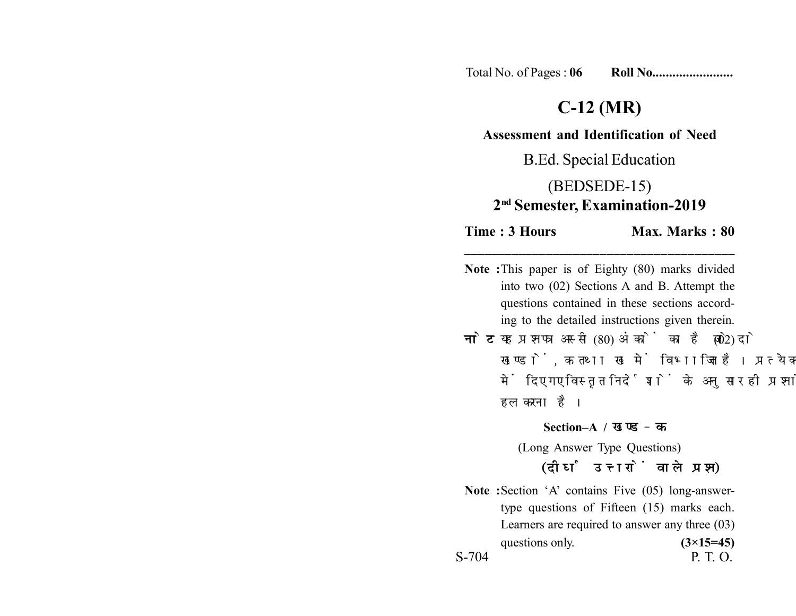Total No. of Pages : **06 Roll No........................**

# **C-12 (MR)**

#### **Assessment and Identification of Need**

B.Ed. Special Education

# (BEDSEDE-15) **2nd Semester, Examination-2019**

**Time : 3 Hours Max. Marks : 80** 

**Note :**This paper is of Eighty (80) marks divided into two (02) Sections A and B. Attempt the questions contained in these sections according to the detailed instructions given therein.

**\_\_\_\_\_\_\_\_\_\_\_\_\_\_\_\_\_\_\_\_\_\_\_\_\_\_\_\_\_\_\_\_\_\_\_\_\_\_\_\_**

**नोट:** यह प्रश्नपत्र अस्सी (80) अंकों का है जो दो (02) खण्डों, क तथा ख में विभाजित है। प्रत्येक खण्ड में दिए गए विस्तृत निर्देशों के अनुसार ही प्रश्नों को हल करना है।

**Section–A /** 

(Long Answer Type Questions)

### (दीर्घ उत्तरों वाले प्रश्न)

**Note :**Section 'A' contains Five (05) long-answertype questions of Fifteen (15) marks each. Learners are required to answer any three (03) questions only.  $(3\times15=45)$ S-704 P. T. O.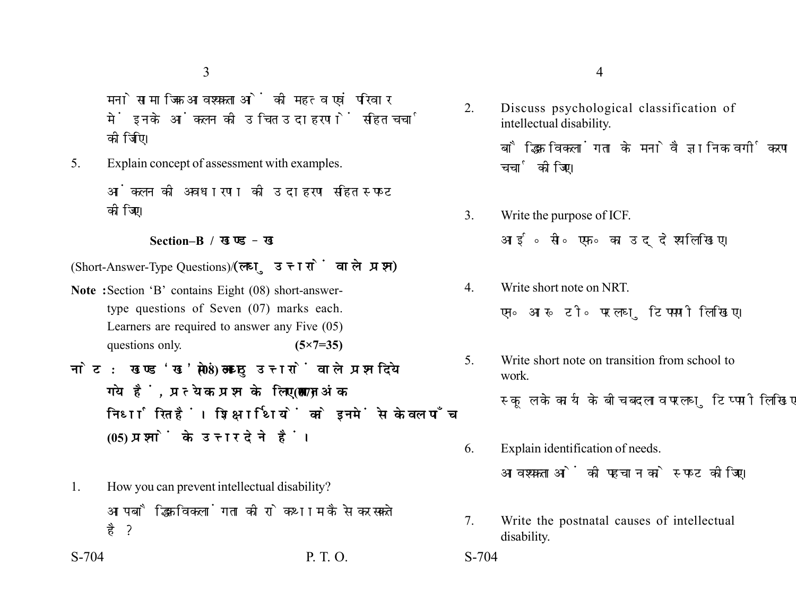3

मनोसामाजिक आवश्यकताओं की महत्व एवं परिवार में इनके आंकलन की उचित उदाहरणों सहित चर्चा कोजिएि।

5. Explain concept of assessment with examples.

आंकलन की अवधारणा की उदाहरण सहित स्पष्ट कोजिए।

#### **Section–B /**

(Short-Answer-Type Questions)/(लघु उत्तरों वाले प्रश्न)

- **Note :**Section 'B' contains Eight (08) short-answertype questions of Seven (07) marks each. Learners are required to answer any Five (05) questions only. **(5×7=35)**
- नोट: खण्ड'ख' में आठ (08) लघु उत्तरों वाले प्रश्न दिये गये हैं, प्रत्येक प्रश्न के लिए सात (07) अंक निर्धारित हैं। शिक्षार्थियों को इनमें से केवल पाँच **(05) प्रश्नों के उत्तर देने हैं।**
- 1. How you can prevent intellectual disability? आप बौद्धिक विकलांगता की रोकथाम कैसे कर सकते है?

S-704 P. T. O. S-704

- 2. Discuss psychological classification of intellectual disability. बौद्धिक विकलांगता के मनोवैज्ञानिक वर्गीकरण की चर्चा कीजिए।
- 3. Write the purpose of ICF. आई॰ सी॰ एफ॰ का उददेश्य लिखिए।
- 4. Write short note on NRT. एन॰ आर॰ टी॰ पर लघु टिपपणी लिखिए।
- 5. Write short note on transition from school to work. स्कूल के कार्य के बीच बदलाव पर लघु टिप्पणी लिखिए।
- 6. Explain identification of needs. आवश्यकताओं की पहचान को स्पष्ट कीजिए।
- 7. Write the postnatal causes of intellectual disability.